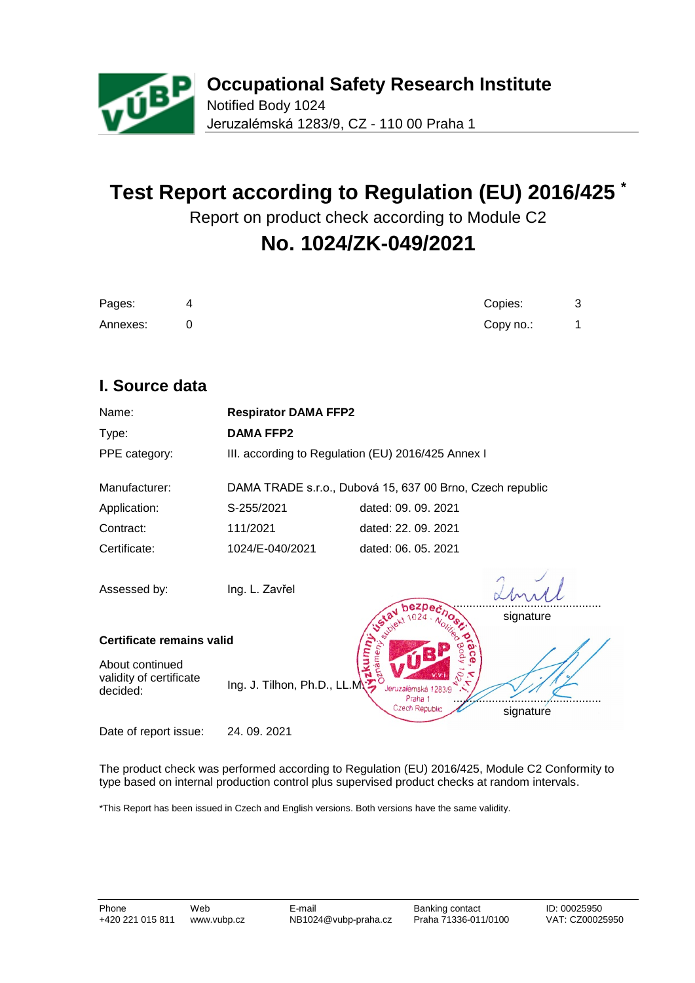

# **Test Report according to Regulation (EU) 2016/425 \***

Report on product check according to Module C2

# **No. 1024/ZK-049/2021**

| Pages:   | 4 | Copies:   |  |
|----------|---|-----------|--|
| Annexes: |   | Copy no.: |  |

# **I. Source data**

| Name:                                                  | <b>Respirator DAMA FFP2</b> |                                                           |           |  |
|--------------------------------------------------------|-----------------------------|-----------------------------------------------------------|-----------|--|
| Type:                                                  | <b>DAMA FFP2</b>            |                                                           |           |  |
| PPE category:                                          |                             | III. according to Regulation (EU) 2016/425 Annex I        |           |  |
| Manufacturer:                                          |                             | DAMA TRADE s.r.o., Dubová 15, 637 00 Brno, Czech republic |           |  |
| Application:                                           | S-255/2021                  | dated: 09. 09. 2021                                       |           |  |
| Contract:                                              | 111/2021                    | dated: 22. 09. 2021                                       |           |  |
| Certificate:                                           | 1024/E-040/2021             | dated: 06, 05, 2021                                       |           |  |
| Assessed by:                                           | Ing. L. Zavřel              |                                                           |           |  |
| signature<br>Certificate remains valid                 |                             |                                                           |           |  |
| About continued<br>validity of certificate<br>decided: | Ing. J. Tilhon, Ph.D., LL.M | Jeruzalémská 1283/9<br>Praha 1<br>Czech Republic          | signature |  |
| Date of report issue:                                  | 24, 09, 2021                |                                                           |           |  |

The product check was performed according to Regulation (EU) 2016/425, Module C2 Conformity to type based on internal production control plus supervised product checks at random intervals.

\*This Report has been issued in Czech and English versions. Both versions have the same validity.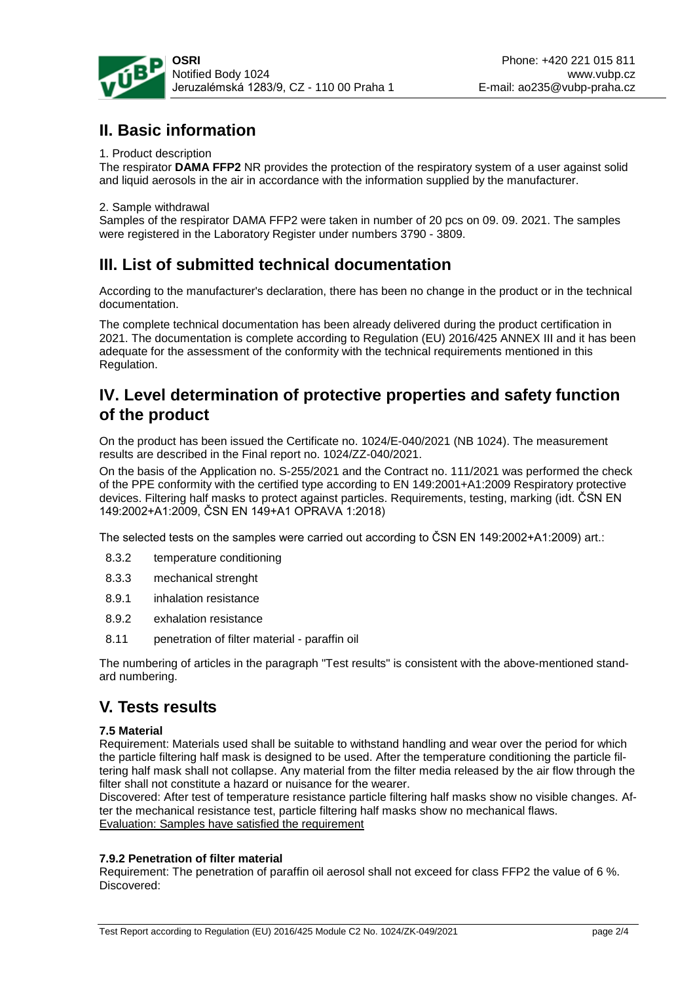

# **II. Basic information**

#### 1. Product description

The respirator **DAMA FFP2** NR provides the protection of the respiratory system of a user against solid and liquid aerosols in the air in accordance with the information supplied by the manufacturer.

#### 2. Sample withdrawal

Samples of the respirator DAMA FFP2 were taken in number of 20 pcs on 09. 09. 2021. The samples were registered in the Laboratory Register under numbers 3790 - 3809.

# **III. List of submitted technical documentation**

According to the manufacturer's declaration, there has been no change in the product or in the technical documentation.

The complete technical documentation has been already delivered during the product certification in 2021. The documentation is complete according to Regulation (EU) 2016/425 ANNEX III and it has been adequate for the assessment of the conformity with the technical requirements mentioned in this Regulation.

# **IV. Level determination of protective properties and safety function of the product**

On the product has been issued the Certificate no. 1024/E-040/2021 (NB 1024). The measurement results are described in the Final report no. 1024/ZZ-040/2021.

On the basis of the Application no. S-255/2021 and the Contract no. 111/2021 was performed the check of the PPE conformity with the certified type according to EN 149:2001+A1:2009 Respiratory protective devices. Filtering half masks to protect against particles. Requirements, testing, marking (idt. ČSN EN 149:2002+A1:2009, ČSN EN 149+A1 OPRAVA 1:2018)

The selected tests on the samples were carried out according to ČSN EN 149:2002+A1:2009) art.:

- 8.3.2 temperature conditioning
- 8.3.3 mechanical strenght
- 8.9.1 inhalation resistance
- 8.9.2 exhalation resistance
- 8.11 penetration of filter material paraffin oil

The numbering of articles in the paragraph "Test results" is consistent with the above-mentioned standard numbering.

# **V. Tests results**

#### **7.5 Material**

Requirement: Materials used shall be suitable to withstand handling and wear over the period for which the particle filtering half mask is designed to be used. After the temperature conditioning the particle filtering half mask shall not collapse. Any material from the filter media released by the air flow through the filter shall not constitute a hazard or nuisance for the wearer.

Discovered: After test of temperature resistance particle filtering half masks show no visible changes. After the mechanical resistance test, particle filtering half masks show no mechanical flaws. Evaluation: Samples have satisfied the requirement

#### **7.9.2 Penetration of filter material**

Requirement: The penetration of paraffin oil aerosol shall not exceed for class FFP2 the value of 6 %. Discovered: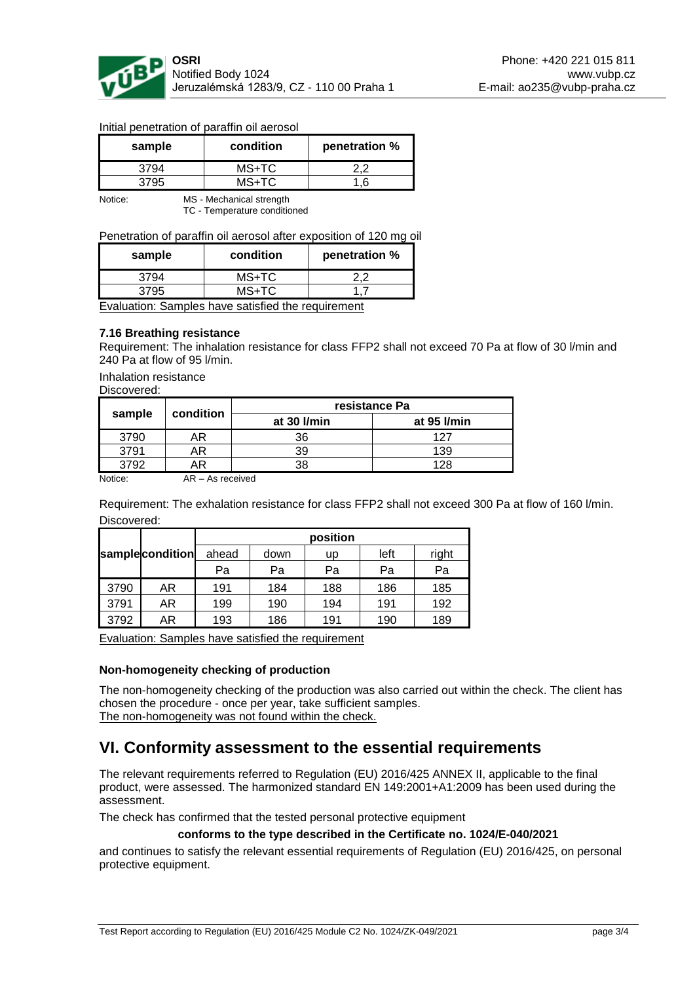

| sample | condition | penetration % |
|--------|-----------|---------------|
| 3794   | MS+TC     | ר י           |
| 3795   | $MS+TC$   |               |

#### Initial penetration of paraffin oil aerosol

Notice: MS - Mechanical strength TC - Temperature conditioned

#### Penetration of paraffin oil aerosol after exposition of 120 mg oil

| sample | condition | penetration % |  |
|--------|-----------|---------------|--|
| 3794   | MS+TC     |               |  |
| 3795   | MS+TC     |               |  |

Evaluation: Samples have satisfied the requirement

#### **7.16 Breathing resistance**

Requirement: The inhalation resistance for class FFP2 shall not exceed 70 Pa at flow of 30 l/min and 240 Pa at flow of 95 l/min.

Inhalation resistance

Discovered:

| sample |           |             | resistance Pa |
|--------|-----------|-------------|---------------|
|        | condition | at 30 l/min | at 95 l/min   |
| 3790   | ۹R        | 36          | 127           |
| 3791   | AR        | 39          | 139           |
| 3792   | ۹R        | 38          | 128           |

Notice: AR – As received

Requirement: The exhalation resistance for class FFP2 shall not exceed 300 Pa at flow of 160 l/min. Discovered:

|      |                 |       |      | position |      |       |
|------|-----------------|-------|------|----------|------|-------|
|      | samplecondition | ahead | down | up       | left | right |
|      |                 | Pa    | Pa   | Pa       | Pa   | Pa    |
| 3790 | AR              | 191   | 184  | 188      | 186  | 185   |
| 3791 | AR              | 199   | 190  | 194      | 191  | 192   |
| 3792 | AR              | 193   | 186  | 191      | 190  | 189   |

Evaluation: Samples have satisfied the requirement

#### **Non-homogeneity checking of production**

The non-homogeneity checking of the production was also carried out within the check. The client has chosen the procedure - once per year, take sufficient samples. The non-homogeneity was not found within the check.

### **VI. Conformity assessment to the essential requirements**

The relevant requirements referred to Regulation (EU) 2016/425 ANNEX II, applicable to the final product, were assessed. The harmonized standard EN 149:2001+A1:2009 has been used during the assessment.

The check has confirmed that the tested personal protective equipment

#### **conforms to the type described in the Certificate no. 1024/E-040/2021**

and continues to satisfy the relevant essential requirements of Regulation (EU) 2016/425, on personal protective equipment.